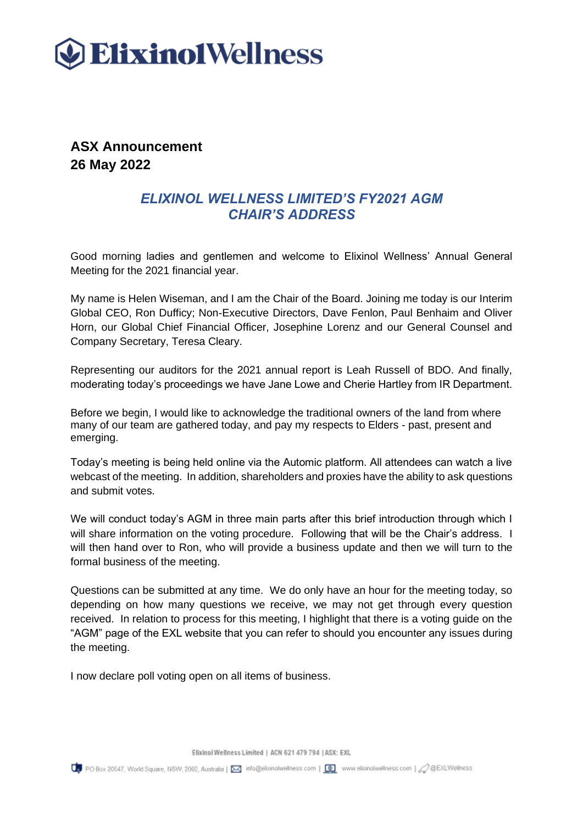

**ASX Announcement 26 May 2022**

# *ELIXINOL WELLNESS LIMITED'S FY2021 AGM CHAIR'S ADDRESS*

Good morning ladies and gentlemen and welcome to Elixinol Wellness' Annual General Meeting for the 2021 financial year.

My name is Helen Wiseman, and I am the Chair of the Board. Joining me today is our Interim Global CEO, Ron Dufficy; Non-Executive Directors, Dave Fenlon, Paul Benhaim and Oliver Horn, our Global Chief Financial Officer, Josephine Lorenz and our General Counsel and Company Secretary, Teresa Cleary.

Representing our auditors for the 2021 annual report is Leah Russell of BDO. And finally, moderating today's proceedings we have Jane Lowe and Cherie Hartley from IR Department.

Before we begin, I would like to acknowledge the traditional owners of the land from where many of our team are gathered today, and pay my respects to Elders - past, present and emerging.

Today's meeting is being held online via the Automic platform. All attendees can watch a live webcast of the meeting. In addition, shareholders and proxies have the ability to ask questions and submit votes.

We will conduct today's AGM in three main parts after this brief introduction through which I will share information on the voting procedure. Following that will be the Chair's address. I will then hand over to Ron, who will provide a business update and then we will turn to the formal business of the meeting.

Questions can be submitted at any time. We do only have an hour for the meeting today, so depending on how many questions we receive, we may not get through every question received. In relation to process for this meeting, I highlight that there is a voting guide on the "AGM" page of the EXL website that you can refer to should you encounter any issues during the meeting.

I now declare poll voting open on all items of business.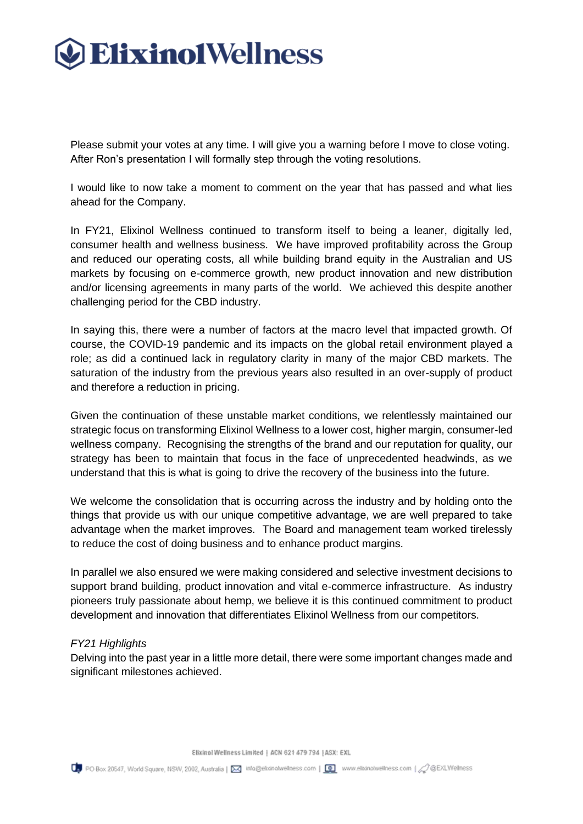# **Elixino1Wellness**

Please submit your votes at any time. I will give you a warning before I move to close voting. After Ron's presentation I will formally step through the voting resolutions.

I would like to now take a moment to comment on the year that has passed and what lies ahead for the Company.

In FY21, Elixinol Wellness continued to transform itself to being a leaner, digitally led, consumer health and wellness business. We have improved profitability across the Group and reduced our operating costs, all while building brand equity in the Australian and US markets by focusing on e-commerce growth, new product innovation and new distribution and/or licensing agreements in many parts of the world. We achieved this despite another challenging period for the CBD industry.

In saying this, there were a number of factors at the macro level that impacted growth. Of course, the COVID-19 pandemic and its impacts on the global retail environment played a role; as did a continued lack in regulatory clarity in many of the major CBD markets. The saturation of the industry from the previous years also resulted in an over-supply of product and therefore a reduction in pricing.

Given the continuation of these unstable market conditions, we relentlessly maintained our strategic focus on transforming Elixinol Wellness to a lower cost, higher margin, consumer-led wellness company. Recognising the strengths of the brand and our reputation for quality, our strategy has been to maintain that focus in the face of unprecedented headwinds, as we understand that this is what is going to drive the recovery of the business into the future.

We welcome the consolidation that is occurring across the industry and by holding onto the things that provide us with our unique competitive advantage, we are well prepared to take advantage when the market improves. The Board and management team worked tirelessly to reduce the cost of doing business and to enhance product margins.

In parallel we also ensured we were making considered and selective investment decisions to support brand building, product innovation and vital e-commerce infrastructure. As industry pioneers truly passionate about hemp, we believe it is this continued commitment to product development and innovation that differentiates Elixinol Wellness from our competitors.

### *FY21 Highlights*

Delving into the past year in a little more detail, there were some important changes made and significant milestones achieved.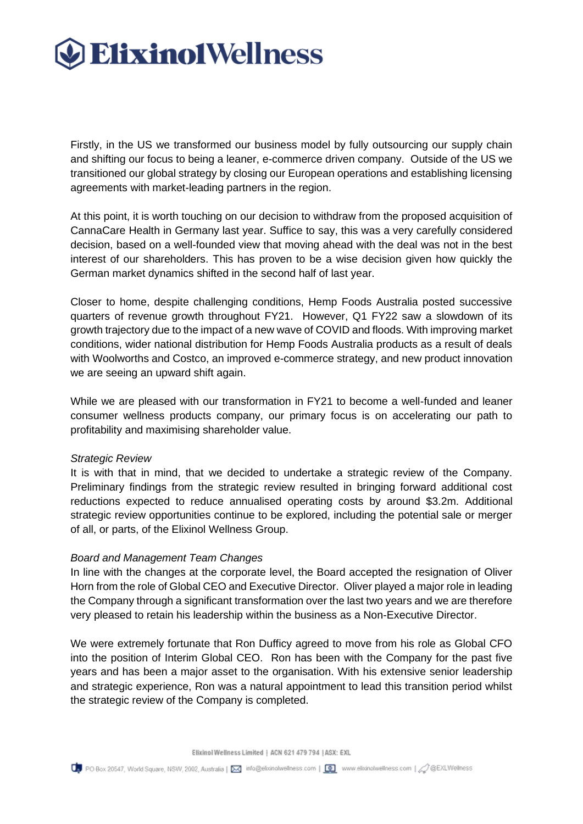

Firstly, in the US we transformed our business model by fully outsourcing our supply chain and shifting our focus to being a leaner, e-commerce driven company. Outside of the US we transitioned our global strategy by closing our European operations and establishing licensing agreements with market-leading partners in the region.

At this point, it is worth touching on our decision to withdraw from the proposed acquisition of CannaCare Health in Germany last year. Suffice to say, this was a very carefully considered decision, based on a well-founded view that moving ahead with the deal was not in the best interest of our shareholders. This has proven to be a wise decision given how quickly the German market dynamics shifted in the second half of last year.

Closer to home, despite challenging conditions, Hemp Foods Australia posted successive quarters of revenue growth throughout FY21. However, Q1 FY22 saw a slowdown of its growth trajectory due to the impact of a new wave of COVID and floods. With improving market conditions, wider national distribution for Hemp Foods Australia products as a result of deals with Woolworths and Costco, an improved e-commerce strategy, and new product innovation we are seeing an upward shift again.

While we are pleased with our transformation in FY21 to become a well-funded and leaner consumer wellness products company, our primary focus is on accelerating our path to profitability and maximising shareholder value.

#### *Strategic Review*

It is with that in mind, that we decided to undertake a strategic review of the Company. Preliminary findings from the strategic review resulted in bringing forward additional cost reductions expected to reduce annualised operating costs by around \$3.2m. Additional strategic review opportunities continue to be explored, including the potential sale or merger of all, or parts, of the Elixinol Wellness Group.

### *Board and Management Team Changes*

In line with the changes at the corporate level, the Board accepted the resignation of Oliver Horn from the role of Global CEO and Executive Director. Oliver played a major role in leading the Company through a significant transformation over the last two years and we are therefore very pleased to retain his leadership within the business as a Non-Executive Director.

We were extremely fortunate that Ron Dufficy agreed to move from his role as Global CFO into the position of Interim Global CEO. Ron has been with the Company for the past five years and has been a major asset to the organisation. With his extensive senior leadership and strategic experience, Ron was a natural appointment to lead this transition period whilst the strategic review of the Company is completed.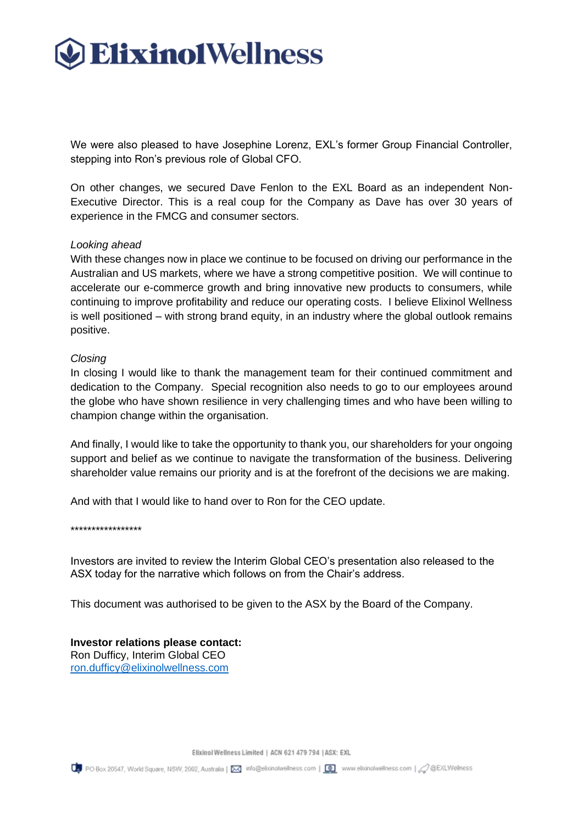

We were also pleased to have Josephine Lorenz, EXL's former Group Financial Controller, stepping into Ron's previous role of Global CFO.

On other changes, we secured Dave Fenlon to the EXL Board as an independent Non-Executive Director. This is a real coup for the Company as Dave has over 30 years of experience in the FMCG and consumer sectors.

#### *Looking ahead*

With these changes now in place we continue to be focused on driving our performance in the Australian and US markets, where we have a strong competitive position. We will continue to accelerate our e-commerce growth and bring innovative new products to consumers, while continuing to improve profitability and reduce our operating costs. I believe Elixinol Wellness is well positioned – with strong brand equity, in an industry where the global outlook remains positive.

#### *Closing*

In closing I would like to thank the management team for their continued commitment and dedication to the Company. Special recognition also needs to go to our employees around the globe who have shown resilience in very challenging times and who have been willing to champion change within the organisation.

And finally, I would like to take the opportunity to thank you, our shareholders for your ongoing support and belief as we continue to navigate the transformation of the business. Delivering shareholder value remains our priority and is at the forefront of the decisions we are making.

And with that I would like to hand over to Ron for the CEO update.

\*\*\*\*\*\*\*\*\*\*\*\*\*\*\*\*\*

Investors are invited to review the Interim Global CEO's presentation also released to the ASX today for the narrative which follows on from the Chair's address.

This document was authorised to be given to the ASX by the Board of the Company.

#### **Investor relations please contact:**

Ron Dufficy, Interim Global CEO [ron.dufficy@elixinolwellness.com](mailto:ron.dufficy@elixinolwellness.com)